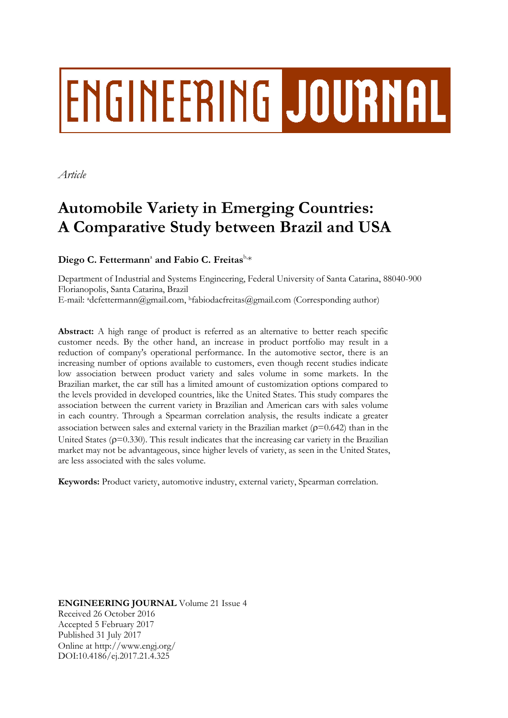# ENGINEERING JOURNAL

*Article*

## **Automobile Variety in Emerging Countries: A Comparative Study between Brazil and USA**

#### Diego C. Fettermann<sup>a</sup> and Fabio C. Freitas $^{\text{b},\ast}$

Department of Industrial and Systems Engineering, Federal University of Santa Catarina, 88040-900 Florianopolis, Santa Catarina, Brazil E-mail: adcfettermann@gmail.com, <sup>b</sup>fabiodacfreitas@gmail.com (Corresponding author)

**Abstract:** A high range of product is referred as an alternative to better reach specific customer needs. By the other hand, an increase in product portfolio may result in a reduction of company's operational performance. In the automotive sector, there is an increasing number of options available to customers, even though recent studies indicate low association between product variety and sales volume in some markets. In the Brazilian market, the car still has a limited amount of customization options compared to the levels provided in developed countries, like the United States. This study compares the association between the current variety in Brazilian and American cars with sales volume in each country. Through a Spearman correlation analysis, the results indicate a greater association between sales and external variety in the Brazilian market ( $\rho$ =0.642) than in the United States ( $p=0.330$ ). This result indicates that the increasing car variety in the Brazilian market may not be advantageous, since higher levels of variety, as seen in the United States, are less associated with the sales volume.

**Keywords:** Product variety, automotive industry, external variety, Spearman correlation.

**ENGINEERING JOURNAL** Volume 21 Issue 4 Received 26 October 2016 Accepted 5 February 2017 Published 31 July 2017 Online at http://www.engj.org/ DOI:10.4186/ej.2017.21.4.325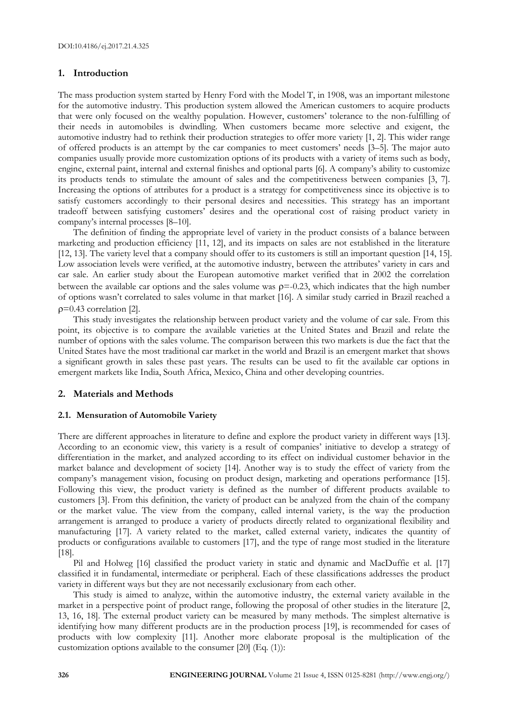#### **1. Introduction**

The mass production system started by Henry Ford with the Model T, in 1908, was an important milestone for the automotive industry. This production system allowed the American customers to acquire products that were only focused on the wealthy population. However, customers' tolerance to the non-fulfilling of their needs in automobiles is dwindling. When customers became more selective and exigent, the automotive industry had to rethink their production strategies to offer more variety [1, 2]. This wider range of offered products is an attempt by the car companies to meet customers' needs [3–5]. The major auto companies usually provide more customization options of its products with a variety of items such as body, engine, external paint, internal and external finishes and optional parts [6]. A company's ability to customize its products tends to stimulate the amount of sales and the competitiveness between companies [3, 7]. Increasing the options of attributes for a product is a strategy for competitiveness since its objective is to satisfy customers accordingly to their personal desires and necessities. This strategy has an important tradeoff between satisfying customers' desires and the operational cost of raising product variety in company's internal processes [8–10].

The definition of finding the appropriate level of variety in the product consists of a balance between marketing and production efficiency [11, 12], and its impacts on sales are not established in the literature [12, 13]. The variety level that a company should offer to its customers is still an important question [14, 15]. Low association levels were verified, at the automotive industry, between the attributes' variety in cars and car sale. An earlier study about the European automotive market verified that in 2002 the correlation between the available car options and the sales volume was  $\rho = -0.23$ , which indicates that the high number of options wasn't correlated to sales volume in that market [16]. A similar study carried in Brazil reached a  $p=0.43$  correlation [2].

This study investigates the relationship between product variety and the volume of car sale. From this point, its objective is to compare the available varieties at the United States and Brazil and relate the number of options with the sales volume. The comparison between this two markets is due the fact that the United States have the most traditional car market in the world and Brazil is an emergent market that shows a significant growth in sales these past years. The results can be used to fit the available car options in emergent markets like India, South Africa, Mexico, China and other developing countries.

#### **2. Materials and Methods**

#### **2.1. Mensuration of Automobile Variety**

There are different approaches in literature to define and explore the product variety in different ways [13]. According to an economic view, this variety is a result of companies' initiative to develop a strategy of differentiation in the market, and analyzed according to its effect on individual customer behavior in the market balance and development of society [14]. Another way is to study the effect of variety from the company's management vision, focusing on product design, marketing and operations performance [15]. Following this view, the product variety is defined as the number of different products available to customers [3]. From this definition, the variety of product can be analyzed from the chain of the company or the market value. The view from the company, called internal variety, is the way the production arrangement is arranged to produce a variety of products directly related to organizational flexibility and manufacturing [17]. A variety related to the market, called external variety, indicates the quantity of products or configurations available to customers [17], and the type of range most studied in the literature [18].

Pil and Holweg [16] classified the product variety in static and dynamic and MacDuffie et al. [17] classified it in fundamental, intermediate or peripheral. Each of these classifications addresses the product variety in different ways but they are not necessarily exclusionary from each other.

This study is aimed to analyze, within the automotive industry, the external variety available in the market in a perspective point of product range, following the proposal of other studies in the literature [2, 13, 16, 18]. The external product variety can be measured by many methods. The simplest alternative is identifying how many different products are in the production process [19], is recommended for cases of products with low complexity [11]. Another more elaborate proposal is the multiplication of the customization options available to the consumer [20] (Eq. (1)):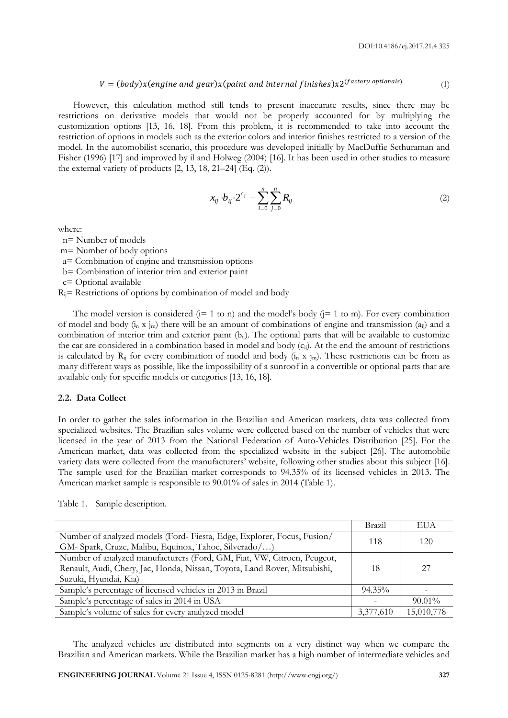#### $V = (body) x (engine and gear) x (paint and internal finishes) x 2^{(factory options)}$ (1)

However, this calculation method still tends to present inaccurate results, since there may be restrictions on derivative models that would not be properly accounted for by multiplying the customization options [13, 16, 18]. From this problem, it is recommended to take into account the restriction of options in models such as the exterior colors and interior finishes restricted to a version of the model. In the automobilist scenario, this procedure was developed initially by MacDuffie Sethuraman and Fisher (1996) [17] and improved by il and Holweg (2004) [16]. It has been used in other studies to measure the external variety of products  $[2, 13, 18, 21-24]$  (Eq.  $(2)$ ).

$$
x_{ij} \cdot b_{ij} \cdot 2^{c_{ij}} - \sum_{i=0}^{n} \sum_{j=0}^{n} R_{ij}
$$
 (2)

where:

n= Number of models

- m= Number of body options
- a= Combination of engine and transmission options
- b= Combination of interior trim and exterior paint

c= Optional available

 $R_{ij}$ = Restrictions of options by combination of model and body

The model version is considered ( $i=1$  to n) and the model's body ( $i=1$  to m). For every combination of model and body (i<sub>n</sub> x j<sub>m</sub>) there will be an amount of combinations of engine and transmission (a<sub>ij</sub>) and a combination of interior trim and exterior paint (b<sub>ij</sub>). The optional parts that will be available to customize the car are considered in a combination based in model and body  $(c_{ij})$ . At the end the amount of restrictions is calculated by  $R_{ij}$  for every combination of model and body  $(i_n \times j_m)$ . These restrictions can be from as many different ways as possible, like the impossibility of a sunroof in a convertible or optional parts that are available only for specific models or categories [13, 16, 18].

#### **2.2. Data Collect**

In order to gather the sales information in the Brazilian and American markets, data was collected from specialized websites. The Brazilian sales volume were collected based on the number of vehicles that were licensed in the year of 2013 from the National Federation of Auto-Vehicles Distribution [25]. For the American market, data was collected from the specialized website in the subject [26]. The automobile variety data were collected from the manufacturers' website, following other studies about this subject [16]. The sample used for the Brazilian market corresponds to 94.35% of its licensed vehicles in 2013. The American market sample is responsible to 90.01% of sales in 2014 (Table 1).

|                                                                           | Brazil    | EUA        |
|---------------------------------------------------------------------------|-----------|------------|
| Number of analyzed models (Ford-Fiesta, Edge, Explorer, Focus, Fusion/    | 118       | 120        |
| GM- Spark, Cruze, Malibu, Equinox, Tahoe, Silverado/)                     |           |            |
| Number of analyzed manufacturers (Ford, GM, Fiat, VW, Citroen, Peugeot,   |           |            |
| Renault, Audi, Chery, Jac, Honda, Nissan, Toyota, Land Rover, Mitsubishi, | 18        | 27         |
| Suzuki, Hyundai, Kia)                                                     |           |            |
| Sample's percentage of licensed vehicles in 2013 in Brazil                | $94.35\%$ |            |
| Sample's percentage of sales in 2014 in USA                               |           | $90.01\%$  |
| Sample's volume of sales for every analyzed model                         | 3,377,610 | 15,010,778 |

Table 1. Sample description.

The analyzed vehicles are distributed into segments on a very distinct way when we compare the Brazilian and American markets. While the Brazilian market has a high number of intermediate vehicles and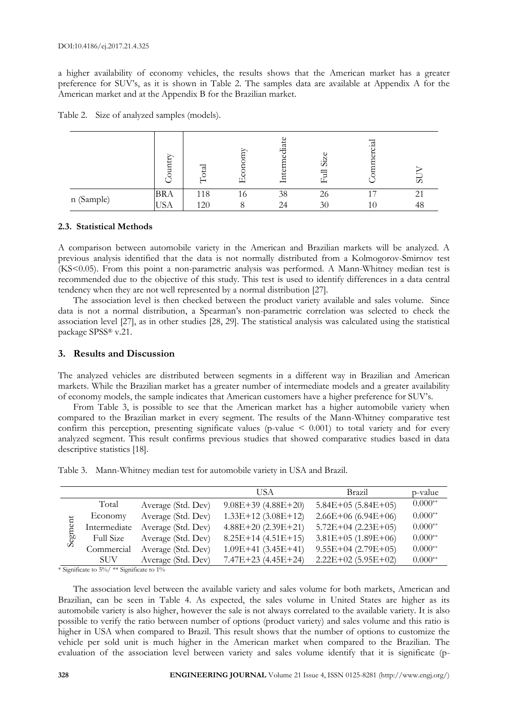a higher availability of economy vehicles, the results shows that the American market has a greater preference for SUV's, as it is shown in Table 2. The samples data are available at Appendix A for the American market and at the Appendix B for the Brazilian market.

|            | ↽<br>Ë     |     | -  | d.<br>Ъй<br>占 | 5  | ₫              | ၯ  |
|------------|------------|-----|----|---------------|----|----------------|----|
|            | <b>BRA</b> | 118 | 10 | 38            | 26 | $\overline{ }$ | ⌒  |
| n (Sample) | T C<br>USA | 120 |    | 24            | 30 | 10             | ŦО |

Table 2. Size of analyzed samples (models).

#### **2.3. Statistical Methods**

A comparison between automobile variety in the American and Brazilian markets will be analyzed. A previous analysis identified that the data is not normally distributed from a Kolmogorov-Smirnov test (KS<0.05). From this point a non-parametric analysis was performed. A Mann-Whitney median test is recommended due to the objective of this study. This test is used to identify differences in a data central tendency when they are not well represented by a normal distribution [27].

The association level is then checked between the product variety available and sales volume. Since data is not a normal distribution, a Spearman's non-parametric correlation was selected to check the association level [27], as in other studies [28, 29]. The statistical analysis was calculated using the statistical package SPSS® v.21.

#### **3. Results and Discussion**

The analyzed vehicles are distributed between segments in a different way in Brazilian and American markets. While the Brazilian market has a greater number of intermediate models and a greater availability of economy models, the sample indicates that American customers have a higher preference for SUV's.

From Table 3, is possible to see that the American market has a higher automobile variety when compared to the Brazilian market in every segment. The results of the Mann-Whitney comparative test confirm this perception, presenting significate values (p-value  $\leq$  0.001) to total variety and for every analyzed segment. This result confirms previous studies that showed comparative studies based in data descriptive statistics [18].

| Table 3. Mann-Whitney median test for automobile variety in USA and Brazil. |  |
|-----------------------------------------------------------------------------|--|
|-----------------------------------------------------------------------------|--|

|         |                  |                    | USA                   | <b>Brazil</b>        | p-value   |
|---------|------------------|--------------------|-----------------------|----------------------|-----------|
|         | Total            | Average (Std. Dev) | $9.08E+39(4.88E+20)$  | $5.84E+05(5.84E+05)$ | $0.000**$ |
|         | Economy          | Average (Std. Dev) | $1.33E+12(3.08E+12)$  | $2.66E+06(6.94E+06)$ | $0.000**$ |
|         | Intermediate     | Average (Std. Dev) | $4.88E+20(2.39E+21)$  | $5.72E+04(2.23E+05)$ | $0.000**$ |
| Segment | <b>Full Size</b> | Average (Std. Dev) | $8.25E+14(4.51E+15)$  | $3.81E+05(1.89E+06)$ | $0.000**$ |
|         | Commercial       | Average (Std. Dev) | $1.09E+41$ (3.45E+41) | $9.55E+04(2.79E+05)$ | $0.000**$ |
|         | SUV-             | Average (Std. Dev) | $7.47E+23(4.45E+24)$  | $2.22E+02(5.95E+02)$ | $0.000**$ |

\* Significate to 5%/ \*\* Significate to 1%

The association level between the available variety and sales volume for both markets, American and Brazilian, can be seen in Table 4. As expected, the sales volume in United States are higher as its automobile variety is also higher, however the sale is not always correlated to the available variety. It is also possible to verify the ratio between number of options (product variety) and sales volume and this ratio is higher in USA when compared to Brazil. This result shows that the number of options to customize the vehicle per sold unit is much higher in the American market when compared to the Brazilian. The evaluation of the association level between variety and sales volume identify that it is significate (p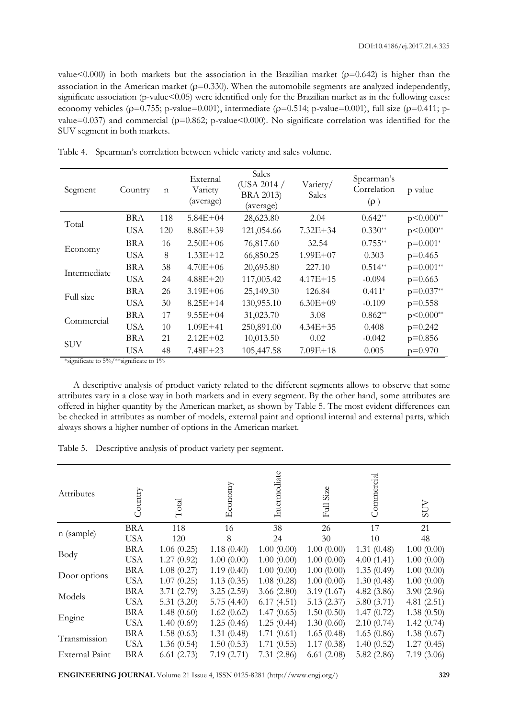value < 0.000) in both markets but the association in the Brazilian market ( $p=0.642$ ) is higher than the association in the American market ( $\rho$ =0.330). When the automobile segments are analyzed independently, significate association (p-value<0.05) were identified only for the Brazilian market as in the following cases: economy vehicles ( $p=0.755$ ; p-value=0.001), intermediate ( $p=0.514$ ; p-value=0.001), full size ( $p=0.411$ ; pvalue=0.037) and commercial ( $p=0.862$ ; p-value<0.000). No significate correlation was identified for the SUV segment in both markets.

| Segment      | Country    | $\mathbf n$ | External<br>Variety<br>(average) | Sales<br>(USA 2014 /<br><b>BRA 2013</b> )<br>(average) | Variety/<br>Sales | Spearman's<br>Correlation<br>$(\rho)$ | p value     |
|--------------|------------|-------------|----------------------------------|--------------------------------------------------------|-------------------|---------------------------------------|-------------|
| Total        | <b>BRA</b> | 118         | $5.84E + 04$                     | 28,623.80                                              | 2.04              | $0.642**$                             | $p<0.000**$ |
|              | <b>USA</b> | 120         | $8.86E + 39$                     | 121,054.66                                             | $7.32E + 34$      | $0.330**$                             | $p<0.000**$ |
| Economy      | BRA        | 16          | $2.50E + 06$                     | 76,817.60                                              | 32.54             | $0.755**$                             | $p=0.001*$  |
|              | <b>USA</b> | 8           | $1.33E+12$                       | 66,850.25                                              | $1.99E + 07$      | 0.303                                 | $p=0.465$   |
| Intermediate | <b>BRA</b> | 38          | $4.70E + 06$                     | 20,695.80                                              | 227.10            | $0.514**$                             | $p=0.001**$ |
|              | <b>USA</b> | 24          | $4.88E + 20$                     | 117,005.42                                             | $4.17E + 15$      | $-0.094$                              | $p=0.663$   |
| Full size    | <b>BRA</b> | 26          | $3.19E + 06$                     | 25,149.30                                              | 126.84            | $0.411*$                              | $p=0.037**$ |
|              | <b>USA</b> | 30          | $8.25E+14$                       | 130,955.10                                             | $6.30E + 09$      | $-0.109$                              | $p=0.558$   |
| Commercial   | <b>BRA</b> | 17          | $9.55E + 04$                     | 31,023.70                                              | 3.08              | $0.862**$                             | $p<0.000**$ |
|              | <b>USA</b> | 10          | $1.09E + 41$                     | 250,891.00                                             | $4.34E + 35$      | 0.408                                 | $p=0.242$   |
| <b>SUV</b>   | BRA        | 21          | $2.12E + 02$                     | 10,013.50                                              | 0.02              | $-0.042$                              | $p=0.856$   |
|              | <b>USA</b> | 48          | $7.48E + 23$                     | 105,447.58                                             | $7.09E + 18$      | 0.005                                 | $p=0.970$   |

Table 4. Spearman's correlation between vehicle variety and sales volume.

\*significate to 5%/\*\*significate to 1%

A descriptive analysis of product variety related to the different segments allows to observe that some attributes vary in a close way in both markets and in every segment. By the other hand, some attributes are offered in higher quantity by the American market, as shown by Table 5. The most evident differences can be checked in attributes as number of models, external paint and optional internal and external parts, which always shows a higher number of options in the American market.

Table 5. Descriptive analysis of product variety per segment.

| Attributes            | Country    | Total         | Economy    | Intermediate | Size<br>目  | Commercial | SUV        |
|-----------------------|------------|---------------|------------|--------------|------------|------------|------------|
| n (sample)            | <b>BRA</b> | 118           | 16         | 38           | 26         | 17         | 21         |
|                       | <b>USA</b> | 120           | 8          | 24           | 30         | 10         | 48         |
| Body                  | <b>BRA</b> | 1.06(0.25)    | 1.18(0.40) | 1.00(0.00)   | 1.00(0.00) | 1.31(0.48) | 1.00(0.00) |
|                       | <b>USA</b> | 1.27(0.92)    | 1.00(0.00) | 1.00(0.00)   | 1.00(0.00) | 4.00(1.41) | 1.00(0.00) |
|                       | <b>BRA</b> | 1.08(0.27)    | 1.19(0.40) | 1.00(0.00)   | 1.00(0.00) | 1.35(0.49) | 1.00(0.00) |
| Door options          | <b>USA</b> | 1.07(0.25)    | 1.13(0.35) | 1.08(0.28)   | 1.00(0.00) | 1.30(0.48) | 1.00(0.00) |
| Models                | <b>BRA</b> | 3.71(2.79)    | 3.25(2.59) | 3.66(2.80)   | 3.19(1.67) | 4.82(3.86) | 3.90(2.96) |
|                       | <b>USA</b> | 5.31 $(3.20)$ | 5.75(4.40) | 6.17(4.51)   | 5.13(2.37) | 5.80(3.71) | 4.81(2.51) |
|                       | <b>BRA</b> | 1.48(0.60)    | 1.62(0.62) | 1.47(0.65)   | 1.50(0.50) | 1.47(0.72) | 1.38(0.50) |
| Engine                | <b>USA</b> | 1.40(0.69)    | 1.25(0.46) | 1.25(0.44)   | 1.30(0.60) | 2.10(0.74) | 1.42(0.74) |
| Transmission          | <b>BRA</b> | 1.58(0.63)    | 1.31(0.48) | 1.71(0.61)   | 1.65(0.48) | 1.65(0.86) | 1.38(0.67) |
|                       | <b>USA</b> | 1.36(0.54)    | 1.50(0.53) | 1.71(0.55)   | 1.17(0.38) | 1.40(0.52) | 1.27(0.45) |
| <b>External Paint</b> | <b>BRA</b> | 6.61(2.73)    | 7.19(2.71) | 7.31(2.86)   | 6.61(2.08) | 5.82(2.86) | 7.19(3.06) |

**ENGINEERING JOURNAL** Volume 21 Issue 4, ISSN 0125-8281 (http://www.engj.org/) **329**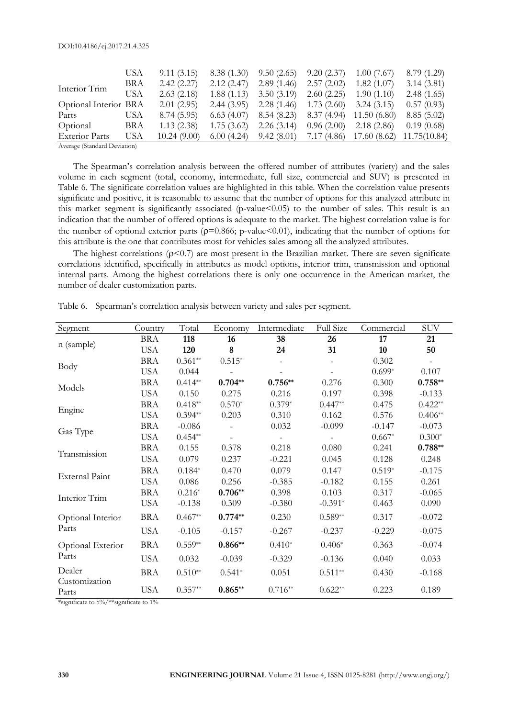|                                        | USA | 9.11(3.15)  | 8.38(1.30) | 9.50(2.65) | 9.20(2.37)  | 1.00(7.67)  | 8.79 (1.29)  |
|----------------------------------------|-----|-------------|------------|------------|-------------|-------------|--------------|
| Interior Trim                          | BRA | 2.42(2.27)  | 2.12(2.47) | 2.89(1.46) | 2.57(2.02)  | 1.82(1.07)  | 3.14(3.81)   |
|                                        | USA | 2.63(2.18)  | 1.88(1.13) | 3.50(3.19) | 2.60(2.25)  | 1.90(1.10)  | 2.48(1.65)   |
| Optional Interior BRA                  |     | 2.01(2.95)  | 2.44(3.95) | 2.28(1.46) | 1.73(2.60)  | 3.24(3.15)  | 0.57(0.93)   |
| Parts                                  | USA | 8.74(5.95)  | 6.63(4.07) | 8.54(8.23) | 8.37(4.94)  | 11.50(6.80) | 8.85(5.02)   |
| Optional                               | BRA | 1.13(2.38)  | 1.75(3.62) | 2.26(3.14) | 0.96(2.00)  | 2.18(2.86)  | 0.19(0.68)   |
| <b>Exterior Parts</b>                  | USA | 10.24(9.00) | 6.00(4.24) | 9.42(8.01) | 7.17 (4.86) | 17.60(8.62) | 11.75(10.84) |
| $\Lambda$ $\Omega$ , $\Gamma$ $\Gamma$ |     |             |            |            |             |             |              |

Average (Standard Deviation)

The Spearman's correlation analysis between the offered number of attributes (variety) and the sales volume in each segment (total, economy, intermediate, full size, commercial and SUV) is presented in Table 6. The significate correlation values are highlighted in this table. When the correlation value presents significate and positive, it is reasonable to assume that the number of options for this analyzed attribute in this market segment is significantly associated (p-value<0.05) to the number of sales. This result is an indication that the number of offered options is adequate to the market. The highest correlation value is for the number of optional exterior parts ( $p=0.866$ ; p-value <0.01), indicating that the number of options for this attribute is the one that contributes most for vehicles sales among all the analyzed attributes.

The highest correlations  $(p<0.7)$  are most present in the Brazilian market. There are seven significate correlations identified, specifically in attributes as model options, interior trim, transmission and optional internal parts. Among the highest correlations there is only one occurrence in the American market, the number of dealer customization parts.

| Segment                | Country    | Total     | Economy   | Intermediate | <b>Full Size</b> | Commercial | <b>SUV</b> |
|------------------------|------------|-----------|-----------|--------------|------------------|------------|------------|
|                        | <b>BRA</b> | 118       | 16        | 38           | 26               | 17         | 21         |
| n (sample)             | <b>USA</b> | 120       | 8         | 24           | 31               | 10         | 50         |
| Body                   | <b>BRA</b> | $0.361**$ | $0.515*$  |              |                  | 0.302      |            |
|                        | <b>USA</b> | 0.044     |           |              |                  | $0.699*$   | 0.107      |
| Models                 | <b>BRA</b> | $0.414**$ | $0.704**$ | $0.756**$    | 0.276            | 0.300      | $0.758**$  |
|                        | <b>USA</b> | 0.150     | 0.275     | 0.216        | 0.197            | 0.398      | $-0.133$   |
| Engine                 | <b>BRA</b> | $0.418**$ | $0.570*$  | $0.379*$     | $0.447**$        | 0.475      | $0.422**$  |
|                        | <b>USA</b> | $0.394**$ | 0.203     | 0.310        | 0.162            | 0.576      | $0.406**$  |
| Gas Type               | <b>BRA</b> | $-0.086$  |           | 0.032        | $-0.099$         | $-0.147$   | $-0.073$   |
|                        | <b>USA</b> | $0.454**$ |           |              |                  | $0.667*$   | $0.300*$   |
| Transmission           | <b>BRA</b> | 0.155     | 0.378     | 0.218        | 0.080            | 0.241      | $0.788**$  |
|                        | <b>USA</b> | 0.079     | 0.237     | $-0.221$     | 0.045            | 0.128      | 0.248      |
| <b>External Paint</b>  | <b>BRA</b> | $0.184*$  | 0.470     | 0.079        | 0.147            | $0.519*$   | $-0.175$   |
|                        | <b>USA</b> | 0.086     | 0.256     | $-0.385$     | $-0.182$         | 0.155      | 0.261      |
| Interior Trim          | <b>BRA</b> | $0.216*$  | $0.706**$ | 0.398        | 0.103            | 0.317      | $-0.065$   |
|                        | <b>USA</b> | $-0.138$  | 0.309     | $-0.380$     | $-0.391*$        | 0.463      | 0.090      |
| Optional Interior      | <b>BRA</b> | $0.467**$ | $0.774**$ | 0.230        | $0.589**$        | 0.317      | $-0.072$   |
| Parts                  | <b>USA</b> | $-0.105$  | $-0.157$  | $-0.267$     | $-0.237$         | $-0.229$   | $-0.075$   |
| Optional Exterior      | <b>BRA</b> | $0.559**$ | $0.866**$ | $0.410*$     | $0.406*$         | 0.363      | $-0.074$   |
| Parts                  | <b>USA</b> | 0.032     | $-0.039$  | $-0.329$     | $-0.136$         | 0.040      | 0.033      |
| Dealer                 | <b>BRA</b> | $0.510**$ | $0.541*$  | 0.051        | $0.511**$        | 0.430      | $-0.168$   |
| Customization<br>Parts | <b>USA</b> | $0.357**$ | $0.865**$ | $0.716**$    | $0.622**$        | 0.223      | 0.189      |

Table 6. Spearman's correlation analysis between variety and sales per segment.

\*significate to 5%/\*\*significate to 1%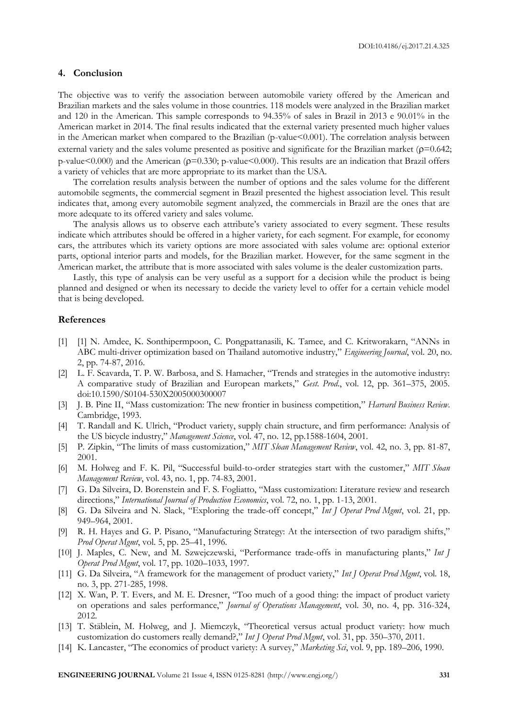#### **4. Conclusion**

The objective was to verify the association between automobile variety offered by the American and Brazilian markets and the sales volume in those countries. 118 models were analyzed in the Brazilian market and 120 in the American. This sample corresponds to 94.35% of sales in Brazil in 2013 e 90.01% in the American market in 2014. The final results indicated that the external variety presented much higher values in the American market when compared to the Brazilian (p-value<0.001). The correlation analysis between external variety and the sales volume presented as positive and significate for the Brazilian market ( $p=0.642$ ; p-value<0.000) and the American ( $p=0.330$ ; p-value<0.000). This results are an indication that Brazil offers a variety of vehicles that are more appropriate to its market than the USA.

The correlation results analysis between the number of options and the sales volume for the different automobile segments, the commercial segment in Brazil presented the highest association level. This result indicates that, among every automobile segment analyzed, the commercials in Brazil are the ones that are more adequate to its offered variety and sales volume.

The analysis allows us to observe each attribute's variety associated to every segment. These results indicate which attributes should be offered in a higher variety, for each segment. For example, for economy cars, the attributes which its variety options are more associated with sales volume are: optional exterior parts, optional interior parts and models, for the Brazilian market. However, for the same segment in the American market, the attribute that is more associated with sales volume is the dealer customization parts.

Lastly, this type of analysis can be very useful as a support for a decision while the product is being planned and designed or when its necessary to decide the variety level to offer for a certain vehicle model that is being developed.

#### **References**

- [1] [1] N. Amdee, K. Sonthipermpoon, C. Pongpattanasili, K. Tamee, and C. Kritworakarn, "ANNs in ABC multi-driver optimization based on Thailand automotive industry," *Engineering Journal*, vol. 20, no. 2, pp. 74-87, 2016.
- [2] L. F. Scavarda, T. P. W. Barbosa, and S. Hamacher, "Trends and strategies in the automotive industry: A comparative study of Brazilian and European markets," *Gest. Prod*., vol. 12, pp. 361–375, 2005. doi:10.1590/S0104-530X2005000300007
- [3] J. B. Pine II, "Mass customization: The new frontier in business competition," *Harvard Business Review*. Cambridge, 1993.
- [4] T. Randall and K. Ulrich, "Product variety, supply chain structure, and firm performance: Analysis of the US bicycle industry," *Management Science*, vol. 47, no. 12, pp.1588-1604, 2001.
- [5] P. Zipkin, "The limits of mass customization," *MIT Sloan Management Review*, vol. 42, no. 3, pp. 81-87, 2001.
- [6] M. Holweg and F. K. Pil, "Successful build-to-order strategies start with the customer," *MIT Sloan Management Review*, vol. 43, no. 1, pp. 74-83, 2001.
- [7] G. Da Silveira, D. Borenstein and F. S. Fogliatto, "Mass customization: Literature review and research directions," *International Journal of Production Economics*, vol. 72, no. 1, pp. 1-13, 2001.
- [8] G. Da Silveira and N. Slack, "Exploring the trade-off concept," *Int J Operat Prod Mgmt*, vol. 21, pp. 949–964, 2001.
- [9] R. H. Hayes and G. P. Pisano, "Manufacturing Strategy: At the intersection of two paradigm shifts," *Prod Operat Mgmt*, vol. 5, pp. 25–41, 1996.
- [10] J. Maples, C. New, and M. Szwejczewski, "Performance trade-offs in manufacturing plants," *Int J Operat Prod Mgmt*, vol. 17, pp. 1020–1033, 1997.
- [11] G. Da Silveira, "A framework for the management of product variety," *Int J Operat Prod Mgmt*, vol. 18, no. 3, pp. 271-285, 1998.
- [12] X. Wan, P. T. Evers, and M. E. Dresner, "Too much of a good thing: the impact of product variety on operations and sales performance," *Journal of Operations Management*, vol. 30, no. 4, pp. 316-324, 2012.
- [13] T. Stäblein, M. Holweg, and J. Miemczyk, "Theoretical versus actual product variety: how much customization do customers really demand?," *Int J Operat Prod Mgmt*, vol. 31, pp. 350–370, 2011.
- [14] K. Lancaster, "The economics of product variety: A survey," *Marketing Sci*, vol. 9, pp. 189–206, 1990.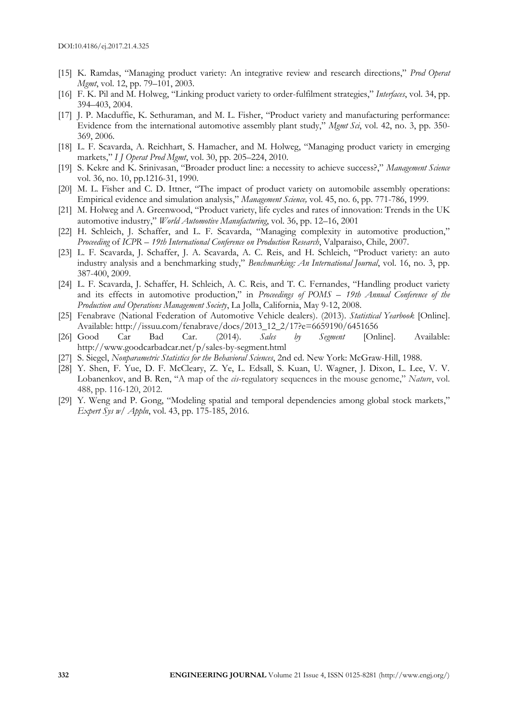- [15] K. Ramdas, "Managing product variety: An integrative review and research directions," *Prod Operat Mgmt*, vol. 12, pp. 79–101, 2003.
- [16] F. K. Pil and M. Holweg, "Linking product variety to order-fulfilment strategies," *Interfaces*, vol. 34, pp. 394–403, 2004.
- [17] J. P. Macduffie, K. Sethuraman, and M. L. Fisher, "Product variety and manufacturing performance: Evidence from the international automotive assembly plant study," *Mgmt Sci*, vol. 42, no. 3, pp. 350- 369, 2006.
- [18] L. F. Scavarda, A. Reichhart, S. Hamacher, and M. Holweg, "Managing product variety in emerging markets," *I J Operat Prod Mgmt*, vol. 30, pp. 205–224, 2010.
- [19] S. Kekre and K. Srinivasan, "Broader product line: a necessity to achieve success?," *Management Science* vol. 36, no. 10, pp.1216-31, 1990.
- [20] M. L. Fisher and C. D. Ittner, "The impact of product variety on automobile assembly operations: Empirical evidence and simulation analysis," *Management Science,* vol. 45, no. 6, pp. 771-786, 1999.
- [21] M. Holweg and A. Greenwood, "Product variety, life cycles and rates of innovation: Trends in the UK automotive industry," *World Automotive Manufacturing*, vol. 36, pp. 12–16, 2001
- [22] H. Schleich, J. Schaffer, and L. F. Scavarda, "Managing complexity in automotive production," *Proceeding* of *ICPR* – *19th International Conference on Production Research*, Valparaiso, Chile, 2007.
- [23] L. F. Scavarda, J. Schaffer, J. A. Scavarda, A. C. Reis, and H. Schleich, "Product variety: an auto industry analysis and a benchmarking study," *Benchmarking: An International Journal*, vol. 16, no. 3, pp. 387-400, 2009.
- [24] L. F. Scavarda, J. Schaffer, H. Schleich, A. C. Reis, and T. C. Fernandes, "Handling product variety and its effects in automotive production," in *Proceedings of POMS* – *19th Annual Conference of the Production and Operations Management Society*, La Jolla, California, May 9-12, 2008.
- [25] Fenabrave (National Federation of Automotive Vehicle dealers). (2013). *Statistical Yearbook* [Online]. Available: http://issuu.com/fenabrave/docs/2013\_12\_2/17?e=6659190/6451656
- [26] Good Car Bad Car. (2014). *Sales by Segment* [Online]. Available: http://www.goodcarbadcar.net/p/sales-by-segment.html
- [27] S. Siegel, *Nonparametric Statistics for the Behavioral Sciences*, 2nd ed. New York: McGraw-Hill, 1988.
- [28] Y. Shen, F. Yue, D. F. McCleary, Z. Ye, L. Edsall, S. Kuan, U. Wagner, J. Dixon, L. Lee, V. V. Lobanenkov, and B. Ren, "A map of the *cis*-regulatory sequences in the mouse genome," *Nature*, vol. 488, pp. 116-120, 2012.
- [29] Y. Weng and P. Gong, "Modeling spatial and temporal dependencies among global stock markets," *Expert Sys w/ Appln*, vol. 43, pp. 175-185, 2016.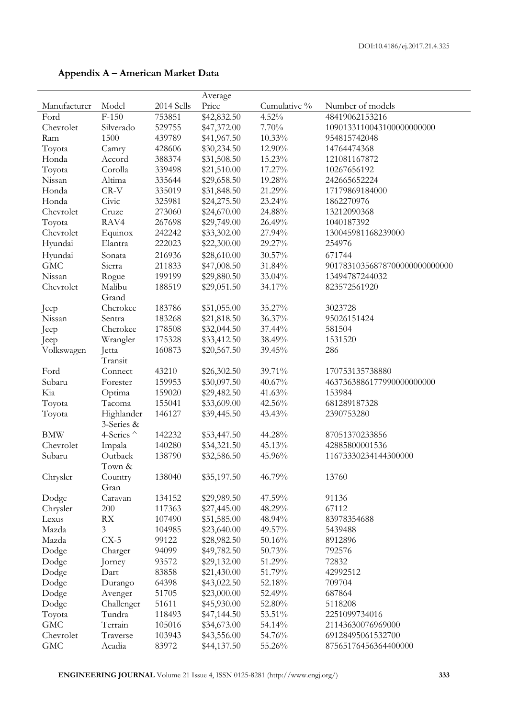|              |                 |            | Average     |              |                               |
|--------------|-----------------|------------|-------------|--------------|-------------------------------|
| Manufacturer | Model           | 2014 Sells | Price       | Cumulative % | Number of models              |
| Ford         | $F-150$         | 753851     | \$42,832.50 | 4.52%        | 48419062153216                |
| Chevrolet    | Silverado       | 529755     | \$47,372.00 | 7.70%        | 1090133110043100000000000     |
| Ram          | 1500            | 439789     | \$41,967.50 | 10.33%       | 954815742048                  |
| Toyota       | Camry           | 428606     | \$30,234.50 | 12.90%       | 14764474368                   |
| Honda        | Accord          | 388374     | \$31,508.50 | 15.23%       | 121081167872                  |
| Toyota       | Corolla         | 339498     | \$21,510.00 | 17.27%       | 10267656192                   |
| Nissan       | Altima          | 335644     | \$29,658.50 | 19.28%       | 242665652224                  |
| Honda        | CR-V            | 335019     | \$31,848.50 | 21.29%       | 17179869184000                |
| Honda        | Civic           | 325981     | \$24,275.50 | 23.24%       | 1862270976                    |
| Chevrolet    | Cruze           | 273060     | \$24,670.00 | 24.88%       | 13212090368                   |
| Toyota       | RAV4            | 267698     | \$29,749.00 | 26.49%       | 1040187392                    |
| Chevrolet    | Equinox         | 242242     | \$33,302.00 | 27.94%       | 130045981168239000            |
| Hyundai      | Elantra         | 222023     | \$22,300.00 | 29.27%       | 254976                        |
| Hyundai      | Sonata          | 216936     | \$28,610.00 | 30.57%       | 671744                        |
| <b>GMC</b>   | Sierra          |            |             |              |                               |
|              |                 | 211833     | \$47,008.50 | 31.84%       | 90178310356878700000000000000 |
| Nissan       | Rogue           | 199199     | \$29,880.50 | 33.04%       | 13494787244032                |
| Chevrolet    | Malibu<br>Grand | 188519     | \$29,051.50 | 34.17%       | 823572561920                  |
| Jeep         | Cherokee        | 183786     | \$51,055.00 | 35.27%       | 3023728                       |
| Nissan       | Sentra          | 183268     | \$21,818.50 | 36.37%       | 95026151424                   |
| Jeep         | Cherokee        | 178508     | \$32,044.50 | 37.44%       | 581504                        |
| Jeep         | Wrangler        | 175328     | \$33,412.50 | 38.49%       | 1531520                       |
| Volkswagen   | Jetta           | 160873     | \$20,567.50 | 39.45%       | 286                           |
|              | Transit         |            |             |              |                               |
| Ford         | Connect         | 43210      | \$26,302.50 | 39.71%       | 170753135738880               |
| Subaru       | Forester        | 159953     | \$30,097.50 | 40.67%       | 4637363886177990000000000     |
| Kia          | Optima          | 159020     | \$29,482.50 | 41.63%       | 153984                        |
| Toyota       | Tacoma          | 155041     | \$33,609.00 | 42.56%       | 681289187328                  |
| Toyota       | Highlander      | 146127     | \$39,445.50 | 43.43%       | 2390753280                    |
|              | 3-Series &      |            |             |              |                               |
| <b>BMW</b>   | 4-Series ^      | 142232     | \$53,447.50 | 44.28%       | 87051370233856                |
| Chevrolet    | Impala          | 140280     | \$34,321.50 | 45.13%       | 42885800001536                |
| Subaru       | Outback         | 138790     | \$32,586.50 | 45.96%       | 11673330234144300000          |
|              | Town &          |            |             |              |                               |
| Chrysler     | Country         | 138040     | \$35,197.50 | 46.79%       | 13760                         |
|              | Gran            |            |             |              |                               |
| Dodge        | Caravan         | 134152     | \$29,989.50 | 47.59%       | 91136                         |
| Chrysler     | 200             | 117363     | \$27,445.00 | 48.29%       | 67112                         |
| Lexus        | RX              | 107490     | \$51,585.00 | 48.94%       | 83978354688                   |
| Mazda        | 3               | 104985     | \$23,640.00 | 49.57%       | 5439488                       |
| Mazda        | $CX-5$          | 99122      | \$28,982.50 | 50.16%       | 8912896                       |
| Dodge        | Charger         | 94099      | \$49,782.50 | 50.73%       | 792576                        |
| Dodge        | Jorney          | 93572      | \$29,132.00 | 51.29%       | 72832                         |
| Dodge        | Dart            | 83858      | \$21,430.00 | 51.79%       | 42992512                      |
| Dodge        | Durango         | 64398      | \$43,022.50 | 52.18%       | 709704                        |
| Dodge        | Avenger         | 51705      | \$23,000.00 | 52.49%       | 687864                        |
| Dodge        | Challenger      | 51611      | \$45,930.00 | 52.80%       | 5118208                       |
| Toyota       | Tundra          | 118493     | \$47,144.50 | 53.51%       | 2251099734016                 |
| <b>GMC</b>   | Terrain         | 105016     | \$34,673.00 | 54.14%       | 21143630076969000             |
| Chevrolet    | Traverse        | 103943     | \$43,556.00 | 54.76%       | 69128495061532700             |
| GMC          | Acadia          | 83972      | \$44,137.50 | 55.26%       | 87565176456364400000          |
|              |                 |            |             |              |                               |

### **Appendix A – American Market Data**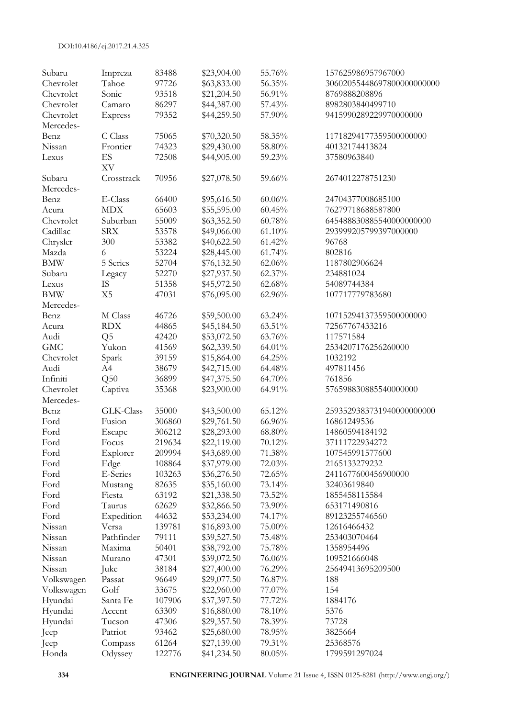| Subaru     | Impreza        | 83488  | \$23,904.00 | 55.76% | 157625986957967000         |
|------------|----------------|--------|-------------|--------|----------------------------|
| Chevrolet  | Tahoe          | 97726  | \$63,833.00 | 56.35% | 30602055448697800000000000 |
| Chevrolet  | Sonic          | 93518  | \$21,204.50 | 56.91% | 8769888208896              |
| Chevrolet  | Camaro         | 86297  | \$44,387.00 | 57.43% | 8982803840499710           |
| Chevrolet  | Express        | 79352  | \$44,259.50 | 57.90% | 9415990289229970000000     |
| Mercedes-  |                |        |             |        |                            |
| Benz       | C Class        | 75065  | \$70,320.50 | 58.35% | 11718294177359500000000    |
| Nissan     | Frontier       | 74323  | \$29,430.00 | 58.80% | 40132174413824             |
| Lexus      | ES             | 72508  | \$44,905.00 | 59.23% | 37580963840                |
|            | XV             |        |             |        |                            |
| Subaru     | Crosstrack     | 70956  | \$27,078.50 | 59.66% | 2674012278751230           |
| Mercedes-  |                |        |             |        |                            |
| Benz       | E-Class        | 66400  | \$95,616.50 | 60.06% | 24704377008685100          |
| Acura      | <b>MDX</b>     | 65603  | \$55,595.00 | 60.45% | 76279718688587800          |
| Chevrolet  | Suburban       | 55009  | \$63,352.50 | 60.78% | 645488830885540000000000   |
|            |                |        |             |        |                            |
| Cadillac   | <b>SRX</b>     | 53578  | \$49,066.00 | 61.10% | 293999205799397000000      |
| Chrysler   | 300            | 53382  | \$40,622.50 | 61.42% | 96768                      |
| Mazda      | 6              | 53224  | \$28,445.00 | 61.74% | 802816                     |
| <b>BMW</b> | 5 Series       | 52704  | \$76,132.50 | 62.06% | 1187802906624              |
| Subaru     | Legacy         | 52270  | \$27,937.50 | 62.37% | 234881024                  |
| Lexus      | <b>IS</b>      | 51358  | \$45,972.50 | 62.68% | 54089744384                |
| <b>BMW</b> | X <sub>5</sub> | 47031  | \$76,095.00 | 62.96% | 107717779783680            |
| Mercedes-  |                |        |             |        |                            |
| Benz       | M Class        | 46726  | \$59,500.00 | 63.24% | 10715294137359500000000    |
| Acura      | <b>RDX</b>     | 44865  | \$45,184.50 | 63.51% | 72567767433216             |
| Audi       | Q <sub>5</sub> | 42420  | \$53,072.50 | 63.76% | 117571584                  |
| <b>GMC</b> | Yukon          | 41569  | \$62,339.50 | 64.01% | 2534207176256260000        |
| Chevrolet  | Spark          | 39159  | \$15,864.00 | 64.25% | 1032192                    |
| Audi       | A4             | 38679  | \$42,715.00 | 64.48% | 497811456                  |
| Infiniti   | Q50            | 36899  | \$47,375.50 | 64.70% | 761856                     |
| Chevrolet  | Captiva        | 35368  | \$23,900.00 | 64.91% | 576598830885540000000      |
| Mercedes-  |                |        |             |        |                            |
| Benz       | GLK-Class      | 35000  | \$43,500.00 | 65.12% | 2593529383731940000000000  |
| Ford       | Fusion         | 306860 | \$29,761.50 | 66.96% | 16861249536                |
| Ford       | Escape         | 306212 | \$28,293.00 | 68.80% | 14860594184192             |
| Ford       | Focus          | 219634 | \$22,119.00 | 70.12% | 37111722934272             |
| Ford       | Explorer       | 209994 | \$43,689.00 | 71.38% | 107545991577600            |
| Ford       | Edge           | 108864 | \$37,979.00 | 72.03% | 2165133279232              |
| Ford       | E-Series       | 103263 | \$36,276.50 | 72.65% | 2411677600456900000        |
| Ford       | Mustang        | 82635  | \$35,160.00 | 73.14% | 32403619840                |
| Ford       | Fiesta         | 63192  | \$21,338.50 | 73.52% | 1855458115584              |
| Ford       | Taurus         | 62629  | \$32,866.50 | 73.90% | 653171490816               |
| Ford       | Expedition     | 44632  | \$53,234.00 | 74.17% | 89123255746560             |
| Nissan     | Versa          | 139781 | \$16,893.00 | 75.00% | 12616466432                |
| Nissan     | Pathfinder     | 79111  | \$39,527.50 | 75.48% | 253403070464               |
| Nissan     | Maxima         | 50401  | \$38,792.00 | 75.78% | 1358954496                 |
| Nissan     |                | 47301  |             |        | 109521666048               |
| Nissan     | Murano         |        | \$39,072.50 | 76.06% |                            |
|            | Juke           | 38184  | \$27,400.00 | 76.29% | 25649413695209500          |
| Volkswagen | Passat         | 96649  | \$29,077.50 | 76.87% | 188                        |
| Volkswagen | Golf           | 33675  | \$22,960.00 | 77.07% | 154                        |
| Hyundai    | Santa Fe       | 107906 | \$37,397.50 | 77.72% | 1884176                    |
| Hyundai    | Accent         | 63309  | \$16,880.00 | 78.10% | 5376                       |
| Hyundai    | Tucson         | 47306  | \$29,357.50 | 78.39% | 73728                      |
| Jeep       | Patriot        | 93462  | \$25,680.00 | 78.95% | 3825664                    |
| Jeep       | Compass        | 61264  | \$27,139.00 | 79.31% | 25368576                   |
| Honda      | Odyssey        | 122776 | \$41,234.50 | 80.05% | 1799591297024              |

**334 ENGINEERING JOURNAL** Volume 21 Issue 4, ISSN 0125-8281 (http://www.engj.org/)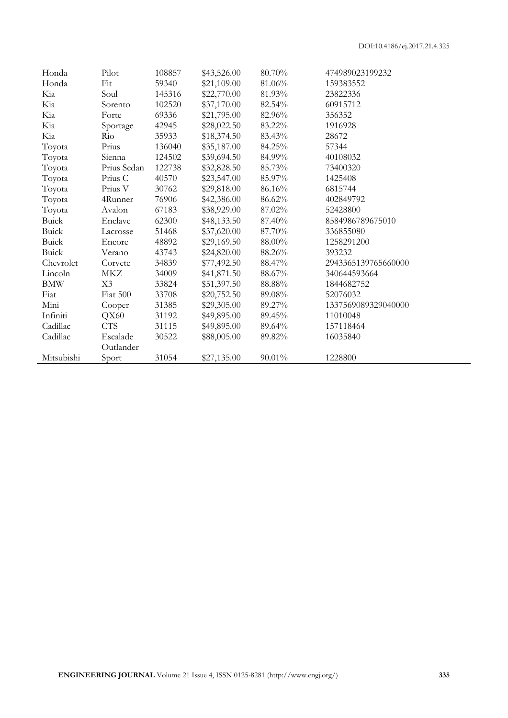| Honda        | Pilot       | 108857 | \$43,526.00 | 80.70% | 474989023199232     |
|--------------|-------------|--------|-------------|--------|---------------------|
| Honda        | Fit         | 59340  | \$21,109.00 | 81.06% | 159383552           |
| Kia          | Soul        | 145316 | \$22,770.00 | 81.93% | 23822336            |
| Kia          | Sorento     | 102520 | \$37,170.00 | 82.54% | 60915712            |
| Kia          | Forte       | 69336  | \$21,795.00 | 82.96% | 356352              |
| Kia          | Sportage    | 42945  | \$28,022.50 | 83.22% | 1916928             |
| Kia          | Rio         | 35933  | \$18,374.50 | 83.43% | 28672               |
| Toyota       | Prius       | 136040 | \$35,187.00 | 84.25% | 57344               |
| Toyota       | Sienna      | 124502 | \$39,694.50 | 84.99% | 40108032            |
| Toyota       | Prius Sedan | 122738 | \$32,828.50 | 85.73% | 73400320            |
| Toyota       | Prius C     | 40570  | \$23,547.00 | 85.97% | 1425408             |
| Toyota       | Prius V     | 30762  | \$29,818.00 | 86.16% | 6815744             |
| Toyota       | 4Runner     | 76906  | \$42,386.00 | 86.62% | 402849792           |
| Toyota       | Avalon      | 67183  | \$38,929.00 | 87.02% | 52428800            |
| <b>Buick</b> | Enclave     | 62300  | \$48,133.50 | 87.40% | 8584986789675010    |
| <b>Buick</b> | Lacrosse    | 51468  | \$37,620.00 | 87.70% | 336855080           |
| Buick        | Encore      | 48892  | \$29,169.50 | 88.00% | 1258291200          |
| <b>Buick</b> | Verano      | 43743  | \$24,820.00 | 88.26% | 393232              |
| Chevrolet    | Corvete     | 34839  | \$77,492.50 | 88.47% | 2943365139765660000 |
| Lincoln      | MKZ         | 34009  | \$41,871.50 | 88.67% | 340644593664        |
| <b>BMW</b>   | X3          | 33824  | \$51,397.50 | 88.88% | 1844682752          |
| Fiat         | Fiat 500    | 33708  | \$20,752.50 | 89.08% | 52076032            |
| Mini         | Cooper      | 31385  | \$29,305.00 | 89.27% | 1337569089329040000 |
| Infiniti     | QX60        | 31192  | \$49,895.00 | 89.45% | 11010048            |
| Cadillac     | <b>CTS</b>  | 31115  | \$49,895.00 | 89.64% | 157118464           |
| Cadillac     | Escalade    | 30522  | \$88,005.00 | 89.82% | 16035840            |
|              | Outlander   |        |             |        |                     |
| Mitsubishi   | Sport       | 31054  | \$27,135.00 | 90.01% | 1228800             |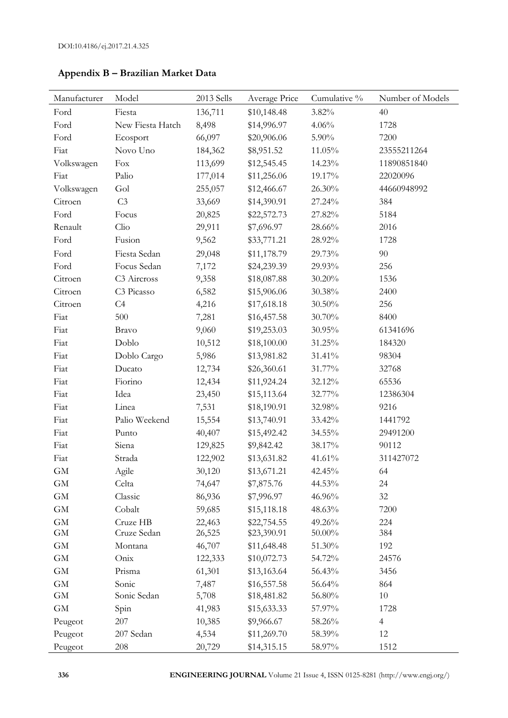| Manufacturer | Model                   | 2013 Sells | Average Price | Cumulative % | Number of Models |
|--------------|-------------------------|------------|---------------|--------------|------------------|
| Ford         | Fiesta                  | 136,711    | \$10,148.48   | 3.82%        | 40               |
| Ford         | New Fiesta Hatch        | 8,498      | \$14,996.97   | 4.06%        | 1728             |
| Ford         | Ecosport                | 66,097     | \$20,906.06   | 5.90%        | 7200             |
| Fiat         | Novo Uno                | 184,362    | \$8,951.52    | 11.05%       | 23555211264      |
| Volkswagen   | Fox                     | 113,699    | \$12,545.45   | 14.23%       | 11890851840      |
| Fiat         | Palio                   | 177,014    | \$11,256.06   | 19.17%       | 22020096         |
| Volkswagen   | Gol                     | 255,057    | \$12,466.67   | 26.30%       | 44660948992      |
| Citroen      | C <sub>3</sub>          | 33,669     | \$14,390.91   | 27.24%       | 384              |
| Ford         | Focus                   | 20,825     | \$22,572.73   | 27.82%       | 5184             |
| Renault      | Clio                    | 29,911     | \$7,696.97    | 28.66%       | 2016             |
| Ford         | Fusion                  | 9,562      | \$33,771.21   | 28.92%       | 1728             |
| Ford         | Fiesta Sedan            | 29,048     | \$11,178.79   | 29.73%       | 90               |
| Ford         | Focus Sedan             | 7,172      | \$24,239.39   | 29.93%       | 256              |
| Citroen      | C <sub>3</sub> Aircross | 9,358      | \$18,087.88   | 30.20%       | 1536             |
| Citroen      | C <sub>3</sub> Picasso  | 6,582      | \$15,906.06   | $30.38\%$    | 2400             |
| Citroen      | C4                      | 4,216      | \$17,618.18   | 30.50%       | 256              |
| Fiat         | 500                     | 7,281      | \$16,457.58   | 30.70%       | 8400             |
| Fiat         | <b>Bravo</b>            | 9,060      | \$19,253.03   | 30.95%       | 61341696         |
| Fiat         | Doblo                   | 10,512     | \$18,100.00   | 31.25%       | 184320           |
| Fiat         | Doblo Cargo             | 5,986      | \$13,981.82   | 31.41%       | 98304            |
| Fiat         | Ducato                  | 12,734     | \$26,360.61   | 31.77%       | 32768            |
| Fiat         | Fiorino                 | 12,434     | \$11,924.24   | 32.12%       | 65536            |
| Fiat         | Idea                    | 23,450     | \$15,113.64   | 32.77%       | 12386304         |
| Fiat         | Linea                   | 7,531      | \$18,190.91   | 32.98%       | 9216             |
| Fiat         | Palio Weekend           | 15,554     | \$13,740.91   | 33.42%       | 1441792          |
| Fiat         | Punto                   | 40,407     | \$15,492.42   | 34.55%       | 29491200         |
| Fiat         | Siena                   | 129,825    | \$9,842.42    | 38.17%       | 90112            |
| Fiat         | Strada                  | 122,902    | \$13,631.82   | 41.61%       | 311427072        |
| <b>GM</b>    | Agile                   | 30,120     | \$13,671.21   | 42.45%       | 64               |
| <b>GM</b>    | Celta                   | 74,647     | \$7,875.76    | 44.53%       | 24               |
| $\mbox{GM}$  | Classic                 | 86,936     | \$7,996.97    | 46.96%       | 32               |
| $\mbox{GM}$  | Cobalt                  | 59,685     | \$15,118.18   | 48.63%       | 7200             |
| $\mbox{GM}$  | Cruze HB                | 22,463     | \$22,754.55   | 49.26%       | 224              |
| <b>GM</b>    | Cruze Sedan             | 26,525     | \$23,390.91   | 50.00%       | 384              |
| <b>GM</b>    | Montana                 | 46,707     | \$11,648.48   | 51.30%       | 192              |
| $\mbox{GM}$  | Onix                    | 122,333    | \$10,072.73   | 54.72%       | 24576            |
| $\mbox{GM}$  | Prisma                  | 61,301     | \$13,163.64   | 56.43%       | 3456             |
| $\mbox{GM}$  | Sonic                   | 7,487      | \$16,557.58   | 56.64%       | 864              |
| $\mbox{GM}$  | Sonic Sedan             | 5,708      | \$18,481.82   | 56.80%       | $10\,$           |
| <b>GM</b>    | Spin                    | 41,983     | \$15,633.33   | 57.97%       | 1728             |
| Peugeot      | 207                     | 10,385     | \$9,966.67    | 58.26%       | $\overline{4}$   |
| Peugeot      | 207 Sedan               | 4,534      | \$11,269.70   | 58.39%       | 12               |
| Peugeot      | 208                     | 20,729     | \$14,315.15   | 58.97%       | 1512             |

**Appendix B – Brazilian Market Data**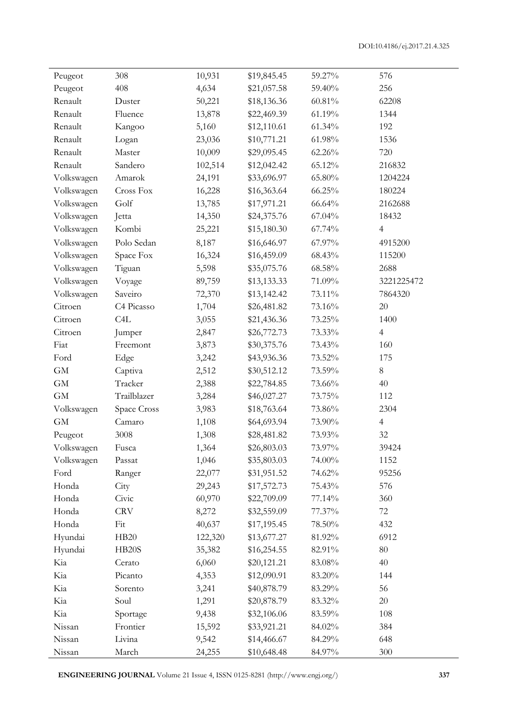| Peugeot     | 308                | 10,931  | \$19,845.45 | 59.27%    | 576            |
|-------------|--------------------|---------|-------------|-----------|----------------|
| Peugeot     | 408                | 4,634   | \$21,057.58 | 59.40%    | 256            |
| Renault     | Duster             | 50,221  | \$18,136.36 | $60.81\%$ | 62208          |
| Renault     | Fluence            | 13,878  | \$22,469.39 | 61.19%    | 1344           |
| Renault     | Kangoo             | 5,160   | \$12,110.61 | 61.34%    | 192            |
| Renault     | Logan              | 23,036  | \$10,771.21 | 61.98%    | 1536           |
| Renault     | Master             | 10,009  | \$29,095.45 | $62.26\%$ | 720            |
| Renault     | Sandero            | 102,514 | \$12,042.42 | 65.12%    | 216832         |
| Volkswagen  | Amarok             | 24,191  | \$33,696.97 | 65.80%    | 1204224        |
| Volkswagen  | Cross Fox          | 16,228  | \$16,363.64 | 66.25%    | 180224         |
| Volkswagen  | Golf               | 13,785  | \$17,971.21 | 66.64%    | 2162688        |
| Volkswagen  | Jetta              | 14,350  | \$24,375.76 | 67.04%    | 18432          |
| Volkswagen  | Kombi              | 25,221  | \$15,180.30 | 67.74%    | $\overline{4}$ |
| Volkswagen  | Polo Sedan         | 8,187   | \$16,646.97 | 67.97%    | 4915200        |
| Volkswagen  | Space Fox          | 16,324  | \$16,459.09 | 68.43%    | 115200         |
| Volkswagen  | Tiguan             | 5,598   | \$35,075.76 | $68.58\%$ | 2688           |
| Volkswagen  | Voyage             | 89,759  | \$13,133.33 | 71.09%    | 3221225472     |
| Volkswagen  | Saveiro            | 72,370  | \$13,142.42 | 73.11%    | 7864320        |
| Citroen     | C4 Picasso         | 1,704   | \$26,481.82 | 73.16%    | $20\,$         |
| Citroen     | C <sub>4</sub> L   | 3,055   | \$21,436.36 | 73.25%    | 1400           |
| Citroen     | Jumper             | 2,847   | \$26,772.73 | 73.33%    | $\overline{4}$ |
| Fiat        | Freemont           | 3,873   | \$30,375.76 | 73.43%    | 160            |
| Ford        | Edge               | 3,242   | \$43,936.36 | 73.52%    | 175            |
| $\mbox{GM}$ | Captiva            | 2,512   | \$30,512.12 | 73.59%    | $8\,$          |
| <b>GM</b>   | Tracker            | 2,388   | \$22,784.85 | 73.66%    | 40             |
| $\mbox{GM}$ | Trailblazer        | 3,284   | \$46,027.27 | 73.75%    | 112            |
| Volkswagen  | Space Cross        | 3,983   | \$18,763.64 | 73.86%    | 2304           |
| $\mbox{GM}$ | Camaro             | 1,108   | \$64,693.94 | 73.90%    | $\overline{4}$ |
| Peugeot     | 3008               | 1,308   | \$28,481.82 | 73.93%    | $32\,$         |
| Volkswagen  | Fusca              | 1,364   | \$26,803.03 | 73.97%    | 39424          |
| Volkswagen  | Passat             | 1,046   | \$35,803.03 | 74.00%    | 1152           |
| Ford        | Ranger             | 22,077  | \$31,951.52 | 74.62%    | 95256          |
| Honda       | City               | 29,243  | \$17,572.73 | 75.43%    | 576            |
| Honda       | Civic              | 60,970  | \$22,709.09 | 77.14%    | 360            |
| Honda       | <b>CRV</b>         | 8,272   | \$32,559.09 | 77.37%    | 72             |
| Honda       | Fit                | 40,637  | \$17,195.45 | 78.50%    | 432            |
| Hyundai     | HB20               | 122,320 | \$13,677.27 | 81.92%    | 6912           |
| Hyundai     | HB <sub>20</sub> S | 35,382  | \$16,254.55 | 82.91%    | $80\,$         |
| Kia         | Cerato             | 6,060   | \$20,121.21 | $83.08\%$ | 40             |
| Kia         | Picanto            | 4,353   | \$12,090.91 | 83.20%    | 144            |
| Kia         | Sorento            | 3,241   | \$40,878.79 | 83.29%    | 56             |
| Kia         | Soul               | 1,291   | \$20,878.79 | 83.32%    | 20             |
| Kia         | Sportage           | 9,438   | \$32,106.06 | 83.59%    | 108            |
| Nissan      | Frontier           | 15,592  | \$33,921.21 | 84.02%    | 384            |
| Nissan      | Livina             | 9,542   | \$14,466.67 | 84.29%    | 648            |
| Nissan      | March              | 24,255  | \$10,648.48 | 84.97%    | 300            |